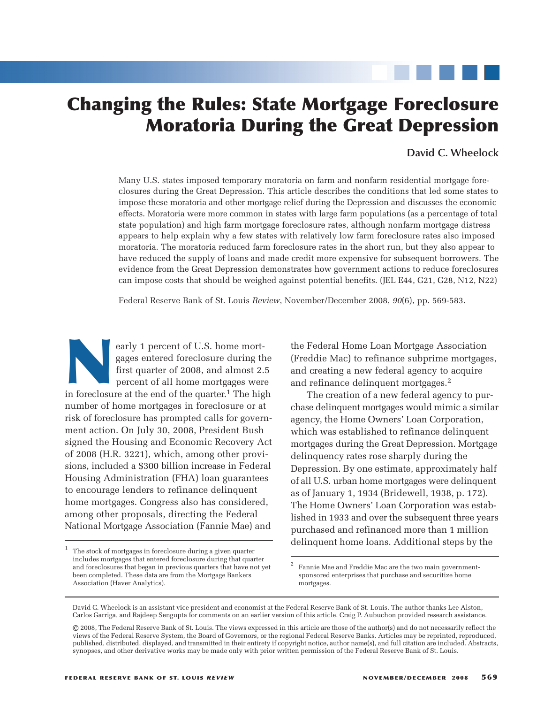# **Changing the Rules: State Mortgage Foreclosure Moratoria During the Great Depression**

## **David C. Wheelock**

Many U.S. states imposed temporary moratoria on farm and nonfarm residential mortgage foreclosures during the Great Depression. This article describes the conditions that led some states to impose these moratoria and other mortgage relief during the Depression and discusses the economic effects. Moratoria were more common in states with large farm populations (as a percentage of total state population) and high farm mortgage foreclosure rates, although nonfarm mortgage distress appears to help explain why a few states with relatively low farm foreclosure rates also imposed moratoria. The moratoria reduced farm foreclosure rates in the short run, but they also appear to have reduced the supply of loans and made credit more expensive for subsequent borrowers. The evidence from the Great Depression demonstrates how government actions to reduce foreclosures can impose costs that should be weighed against potential benefits. (JEL E44, G21, G28, N12, N22)

Federal Reserve Bank of St. Louis *Review*, November/December 2008, *90*(6), pp. 569-583.

early 1 percent of U.S. home mort-<br>gages entered foreclosure during the<br>first quarter of 2008, and almost 2.5<br>percent of all home mortgages were<br>in foreclosure at the end of the quarter.<sup>1</sup> The high gages entered foreclosure during the first quarter of 2008, and almost 2.5 percent of all home mortgages were number of home mortgages in foreclosure or at risk of foreclosure has prompted calls for government action. On July 30, 2008, President Bush signed the Housing and Economic Recovery Act of 2008 (H.R. 3221), which, among other provisions, included a \$300 billion increase in Federal Housing Administration (FHA) loan guarantees to encourage lenders to refinance delinquent home mortgages. Congress also has considered, among other proposals, directing the Federal National Mortgage Association (Fannie Mae) and

<sup>1</sup> The stock of mortgages in foreclosure during a given quarter includes mortgages that entered foreclosure during that quarter and foreclosures that began in previous quarters that have not yet been completed. These data are from the Mortgage Bankers Association (Haver Analytics).

the Federal Home Loan Mortgage Association (Freddie Mac) to refinance subprime mortgages, and creating a new federal agency to acquire and refinance delinquent mortgages.2

The creation of a new federal agency to purchase delinquent mortgages would mimic a similar agency, the Home Owners' Loan Corporation, which was established to refinance delinquent mortgages during the Great Depression. Mortgage delinquency rates rose sharply during the Depression. By one estimate, approximately half of all U.S. urban home mortgages were delinquent as of January 1, 1934 (Bridewell, 1938, p. 172). The Home Owners' Loan Corporation was established in 1933 and over the subsequent three years purchased and refinanced more than 1 million delinquent home loans. Additional steps by the

Fannie Mae and Freddie Mac are the two main governmentsponsored enterprises that purchase and securitize home mortgages.

David C. Wheelock is an assistant vice president and economist at the Federal Reserve Bank of St. Louis. The author thanks Lee Alston, Carlos Garriga, and Rajdeep Sengupta for comments on an earlier version of this article. Craig P. Aubuchon provided research assistance.

<sup>©</sup> 2008, The Federal Reserve Bank of St. Louis. The views expressed in this article are those of the author(s) and do not necessarily reflect the views of the Federal Reserve System, the Board of Governors, or the regional Federal Reserve Banks. Articles may be reprinted, reproduced, published, distributed, displayed, and transmitted in their entirety if copyright notice, author name(s), and full citation are included. Abstracts, synopses, and other derivative works may be made only with prior written permission of the Federal Reserve Bank of St. Louis.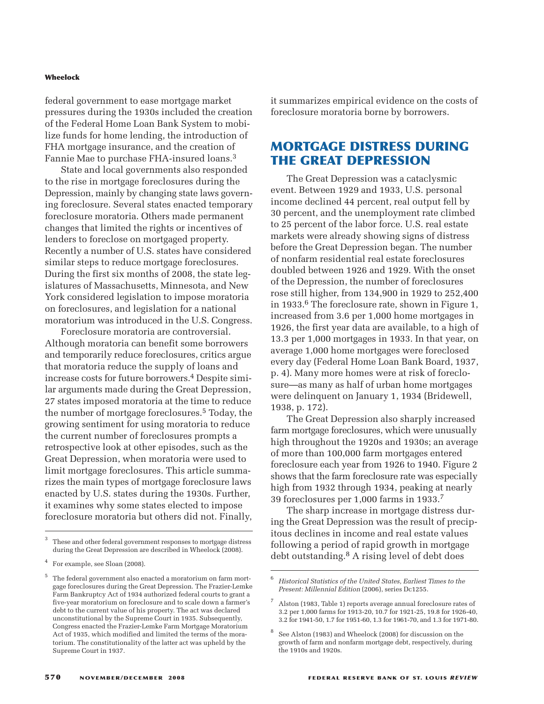federal government to ease mortgage market pressures during the 1930s included the creation of the Federal Home Loan Bank System to mobilize funds for home lending, the introduction of FHA mortgage insurance, and the creation of Fannie Mae to purchase FHA-insured loans.3

State and local governments also responded to the rise in mortgage foreclosures during the Depression, mainly by changing state laws governing foreclosure. Several states enacted temporary foreclosure moratoria. Others made permanent changes that limited the rights or incentives of lenders to foreclose on mortgaged property. Recently a number of U.S. states have considered similar steps to reduce mortgage foreclosures. During the first six months of 2008, the state legislatures of Massachusetts, Minnesota, and New York considered legislation to impose moratoria on foreclosures, and legislation for a national moratorium was introduced in the U.S. Congress.

Foreclosure moratoria are controversial. Although moratoria can benefit some borrowers and temporarily reduce foreclosures, critics argue that moratoria reduce the supply of loans and increase costs for future borrowers.4 Despite similar arguments made during the Great Depression, 27 states imposed moratoria at the time to reduce the number of mortgage foreclosures.5 Today, the growing sentiment for using moratoria to reduce the current number of foreclosures prompts a retrospective look at other episodes, such as the Great Depression, when moratoria were used to limit mortgage foreclosures. This article summarizes the main types of mortgage foreclosure laws enacted by U.S. states during the 1930s. Further, it examines why some states elected to impose foreclosure moratoria but others did not. Finally, it summarizes empirical evidence on the costs of foreclosure moratoria borne by borrowers.

# **MORTGAGE DISTRESS DURING THE GREAT DEPRESSION**

The Great Depression was a cataclysmic event. Between 1929 and 1933, U.S. personal income declined 44 percent, real output fell by 30 percent, and the unemployment rate climbed to 25 percent of the labor force. U.S. real estate markets were already showing signs of distress before the Great Depression began. The number of nonfarm residential real estate foreclosures doubled between 1926 and 1929. With the onset of the Depression, the number of foreclosures rose still higher, from 134,900 in 1929 to 252,400 in 1933. $6$  The foreclosure rate, shown in Figure 1, increased from 3.6 per 1,000 home mortgages in 1926, the first year data are available, to a high of 13.3 per 1,000 mortgages in 1933. In that year, on average 1,000 home mortgages were foreclosed every day (Federal Home Loan Bank Board, 1937, p. 4). Many more homes were at risk of foreclosure—as many as half of urban home mortgages were delinquent on January 1, 1934 (Bridewell, 1938, p. 172).

The Great Depression also sharply increased farm mortgage foreclosures, which were unusually high throughout the 1920s and 1930s; an average of more than 100,000 farm mortgages entered foreclosure each year from 1926 to 1940. Figure 2 shows that the farm foreclosure rate was especially high from 1932 through 1934, peaking at nearly 39 foreclosures per 1,000 farms in 1933.7

The sharp increase in mortgage distress during the Great Depression was the result of precipitous declines in income and real estate values following a period of rapid growth in mortgage debt outstanding.8 A rising level of debt does

These and other federal government responses to mortgage distress during the Great Depression are described in Wheelock (2008).

For example, see Sloan (2008).

<sup>5</sup> The federal government also enacted a moratorium on farm mortgage foreclosures during the Great Depression. The Frazier-Lemke Farm Bankruptcy Act of 1934 authorized federal courts to grant a five-year moratorium on foreclosure and to scale down a farmer's debt to the current value of his property. The act was declared unconstitutional by the Supreme Court in 1935. Subsequently, Congress enacted the Frazier-Lemke Farm Mortgage Moratorium Act of 1935, which modified and limited the terms of the moratorium. The constitutionality of the latter act was upheld by the Supreme Court in 1937.

<sup>6</sup> *Historical Statistics of the United States, Earliest Times to the Present: Millennial Edition* (2006), series Dc1255.

<sup>7</sup> Alston (1983, Table 1) reports average annual foreclosure rates of 3.2 per 1,000 farms for 1913-20, 10.7 for 1921-25, 19.8 for 1926-40, 3.2 for 1941-50, 1.7 for 1951-60, 1.3 for 1961-70, and 1.3 for 1971-80.

<sup>8</sup> See Alston (1983) and Wheelock (2008) for discussion on the growth of farm and nonfarm mortgage debt, respectively, during the 1910s and 1920s.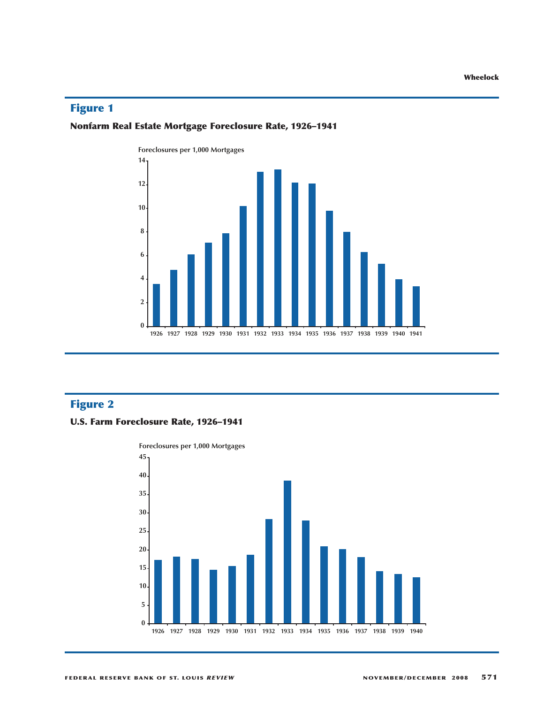# **Figure 1**

## **Nonfarm Real Estate Mortgage Foreclosure Rate, 1926–1941**



# **Figure 2**

#### **U.S. Farm Foreclosure Rate, 1926–1941**

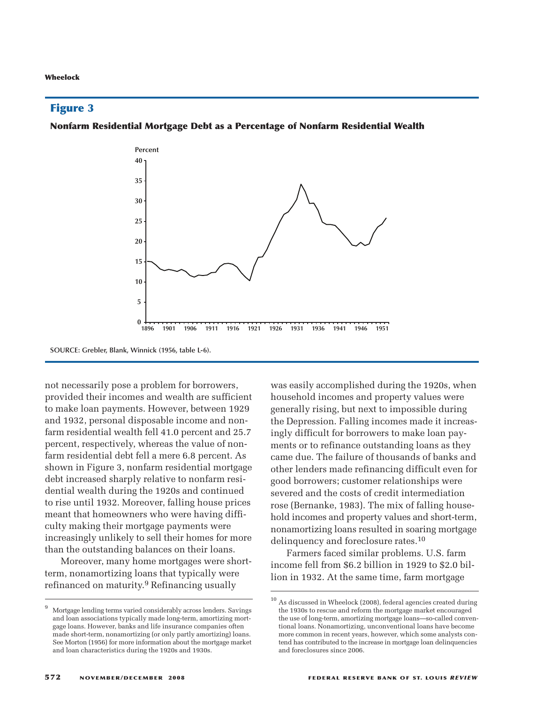### **Figure 3**

**Nonfarm Residential Mortgage Debt as a Percentage of Nonfarm Residential Wealth**



**SOURCE: Grebler, Blank, Winnick (1956, table L-6).**

not necessarily pose a problem for borrowers, provided their incomes and wealth are sufficient to make loan payments. However, between 1929 and 1932, personal disposable income and nonfarm residential wealth fell 41.0 percent and 25.7 percent, respectively, whereas the value of nonfarm residential debt fell a mere 6.8 percent. As shown in Figure 3, nonfarm residential mortgage debt increased sharply relative to nonfarm residential wealth during the 1920s and continued to rise until 1932. Moreover, falling house prices meant that homeowners who were having difficulty making their mortgage payments were increasingly unlikely to sell their homes for more than the outstanding balances on their loans.

Moreover, many home mortgages were shortterm, nonamortizing loans that typically were refinanced on maturity.<sup>9</sup> Refinancing usually

was easily accomplished during the 1920s, when household incomes and property values were generally rising, but next to impossible during the Depression. Falling incomes made it increasingly difficult for borrowers to make loan payments or to refinance outstanding loans as they came due. The failure of thousands of banks and other lenders made refinancing difficult even for good borrowers; customer relationships were severed and the costs of credit intermediation rose (Bernanke, 1983). The mix of falling household incomes and property values and short-term, nonamortizing loans resulted in soaring mortgage delinquency and foreclosure rates.<sup>10</sup>

Farmers faced similar problems. U.S. farm income fell from \$6.2 billion in 1929 to \$2.0 billion in 1932. At the same time, farm mortgage

<sup>9</sup> Mortgage lending terms varied considerably across lenders. Savings and loan associations typically made long-term, amortizing mortgage loans. However, banks and life insurance companies often made short-term, nonamortizing (or only partly amortizing) loans. See Morton (1956) for more information about the mortgage market and loan characteristics during the 1920s and 1930s.

<sup>10</sup> As discussed in Wheelock (2008), federal agencies created during the 1930s to rescue and reform the mortgage market encouraged the use of long-term, amortizing mortgage loans—so-called conventional loans. Nonamortizing, unconventional loans have become more common in recent years, however, which some analysts contend has contributed to the increase in mortgage loan delinquencies and foreclosures since 2006.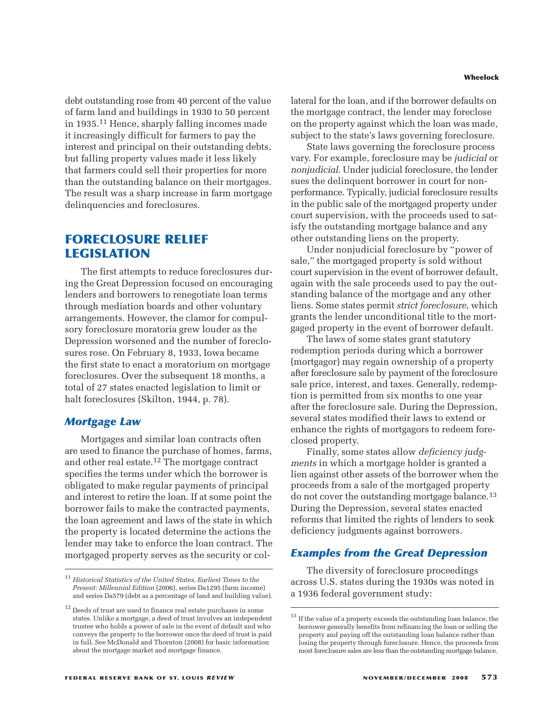debt outstanding rose from 40 percent of the value of farm land and buildings in 1930 to 50 percent in 1935.11 Hence, sharply falling incomes made it increasingly difficult for farmers to pay the interest and principal on their outstanding debts, but falling property values made it less likely that farmers could sell their properties for more than the outstanding balance on their mortgages. The result was a sharp increase in farm mortgage delinquencies and foreclosures.

# **FORECLOSURE RELIEF LEGISLATION**

The first attempts to reduce foreclosures during the Great Depression focused on encouraging lenders and borrowers to renegotiate loan terms through mediation boards and other voluntary arrangements. However, the clamor for compulsory foreclosure moratoria grew louder as the Depression worsened and the number of foreclosures rose. On February 8, 1933, Iowa became the first state to enact a moratorium on mortgage foreclosures. Over the subsequent 18 months, a total of 27 states enacted legislation to limit or halt foreclosures (Skilton, 1944, p. 78).

#### *Mortgage Law*

Mortgages and similar loan contracts often are used to finance the purchase of homes, farms, and other real estate.12 The mortgage contract specifies the terms under which the borrower is obligated to make regular payments of principal and interest to retire the loan. If at some point the borrower fails to make the contracted payments, the loan agreement and laws of the state in which the property is located determine the actions the lender may take to enforce the loan contract. The mortgaged property serves as the security or col-

lateral for the loan, and if the borrower defaults on the mortgage contract, the lender may foreclose on the property against which the loan was made, subject to the state's laws governing foreclosure.

State laws governing the foreclosure process vary. For example, foreclosure may be *judicial* or *nonjudicial*. Under judicial foreclosure, the lender sues the delinquent borrower in court for nonperformance. Typically, judicial foreclosure results in the public sale of the mortgaged property under court supervision, with the proceeds used to satisfy the outstanding mortgage balance and any other outstanding liens on the property.

Under nonjudicial foreclosure by "power of sale," the mortgaged property is sold without court supervision in the event of borrower default, again with the sale proceeds used to pay the outstanding balance of the mortgage and any other liens. Some states permit *strict foreclosure*, which grants the lender unconditional title to the mortgaged property in the event of borrower default.

The laws of some states grant statutory redemption periods during which a borrower (mortgagor) may regain ownership of a property after foreclosure sale by payment of the foreclosure sale price, interest, and taxes. Generally, redemption is permitted from six months to one year after the foreclosure sale. During the Depression, several states modified their laws to extend or enhance the rights of mortgagors to redeem foreclosed property.

Finally, some states allow *deficiency judgments* in which a mortgage holder is granted a lien against other assets of the borrower when the proceeds from a sale of the mortgaged property do not cover the outstanding mortgage balance.13 During the Depression, several states enacted reforms that limited the rights of lenders to seek deficiency judgments against borrowers.

### *Examples from the Great Depression*

The diversity of foreclosure proceedings across U.S. states during the 1930s was noted in a 1936 federal government study:

<sup>11</sup> *Historical Statistics of the United States, Earliest Times to the Present: Millennial Edition* (2006), series Da1295 (farm income) and series Da579 (debt as a percentage of land and building value).

 $12$  Deeds of trust are used to finance real estate purchases in some states. Unlike a mortgage, a deed of trust involves an independent trustee who holds a power of sale in the event of default and who conveys the property to the borrower once the deed of trust is paid in full. See McDonald and Thornton (2008) for basic information about the mortgage market and mortgage finance.

<sup>&</sup>lt;sup>13</sup> If the value of a property exceeds the outstanding loan balance, the borrower generally benefits from refinancing the loan or selling the property and paying off the outstanding loan balance rather than losing the property through foreclosure. Hence, the proceeds from most foreclosure sales are less than the outstanding mortgage balance.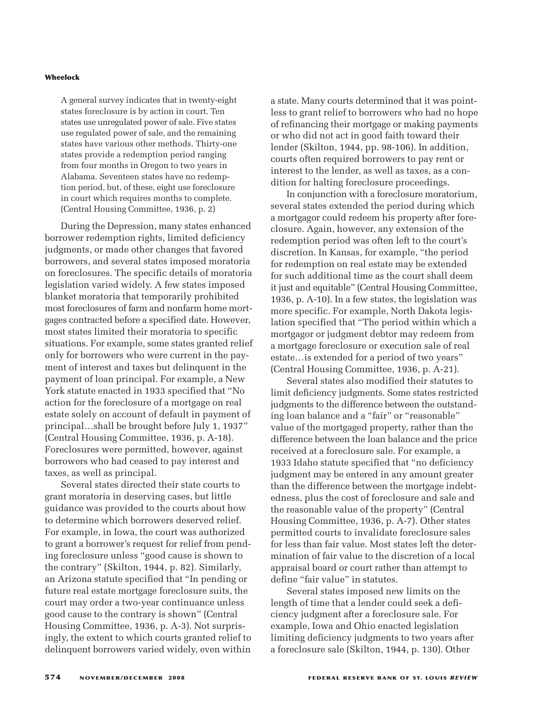A general survey indicates that in twenty-eight states foreclosure is by action in court. Ten states use unregulated power of sale. Five states use regulated power of sale, and the remaining states have various other methods. Thirty-one states provide a redemption period ranging from four months in Oregon to two years in Alabama. Seventeen states have no redemption period, but, of these, eight use foreclosure in court which requires months to complete. (Central Housing Committee, 1936, p. 2)

During the Depression, many states enhanced borrower redemption rights, limited deficiency judgments, or made other changes that favored borrowers, and several states imposed moratoria on foreclosures. The specific details of moratoria legislation varied widely. A few states imposed blanket moratoria that temporarily prohibited most foreclosures of farm and nonfarm home mortgages contracted before a specified date. However, most states limited their moratoria to specific situations. For example, some states granted relief only for borrowers who were current in the payment of interest and taxes but delinquent in the payment of loan principal. For example, a New York statute enacted in 1933 specified that "No action for the foreclosure of a mortgage on real estate solely on account of default in payment of principal…shall be brought before July 1, 1937" (Central Housing Committee, 1936, p. A-18). Foreclosures were permitted, however, against borrowers who had ceased to pay interest and taxes, as well as principal.

Several states directed their state courts to grant moratoria in deserving cases, but little guidance was provided to the courts about how to determine which borrowers deserved relief. For example, in Iowa, the court was authorized to grant a borrower's request for relief from pending foreclosure unless "good cause is shown to the contrary" (Skilton, 1944, p. 82). Similarly, an Arizona statute specified that "In pending or future real estate mortgage foreclosure suits, the court may order a two-year continuance unless good cause to the contrary is shown" (Central Housing Committee, 1936, p. A-3). Not surprisingly, the extent to which courts granted relief to delinquent borrowers varied widely, even within

a state. Many courts determined that it was pointless to grant relief to borrowers who had no hope of refinancing their mortgage or making payments or who did not act in good faith toward their lender (Skilton, 1944, pp. 98-106). In addition, courts often required borrowers to pay rent or interest to the lender, as well as taxes, as a condition for halting foreclosure proceedings.

In conjunction with a foreclosure moratorium, several states extended the period during which a mortgagor could redeem his property after foreclosure. Again, however, any extension of the redemption period was often left to the court's discretion. In Kansas, for example, "the period for redemption on real estate may be extended for such additional time as the court shall deem it just and equitable" (Central Housing Committee, 1936, p. A-10). In a few states, the legislation was more specific. For example, North Dakota legislation specified that "The period within which a mortgagor or judgment debtor may redeem from a mortgage foreclosure or execution sale of real estate…is extended for a period of two years" (Central Housing Committee, 1936, p. A-21).

Several states also modified their statutes to limit deficiency judgments. Some states restricted judgments to the difference between the outstanding loan balance and a "fair" or "reasonable" value of the mortgaged property, rather than the difference between the loan balance and the price received at a foreclosure sale. For example, a 1933 Idaho statute specified that "no deficiency judgment may be entered in any amount greater than the difference between the mortgage indebtedness, plus the cost of foreclosure and sale and the reasonable value of the property" (Central Housing Committee, 1936, p. A-7). Other states permitted courts to invalidate foreclosure sales for less than fair value. Most states left the determination of fair value to the discretion of a local appraisal board or court rather than attempt to define "fair value" in statutes.

Several states imposed new limits on the length of time that a lender could seek a deficiency judgment after a foreclosure sale. For example, Iowa and Ohio enacted legislation limiting deficiency judgments to two years after a foreclosure sale (Skilton, 1944, p. 130). Other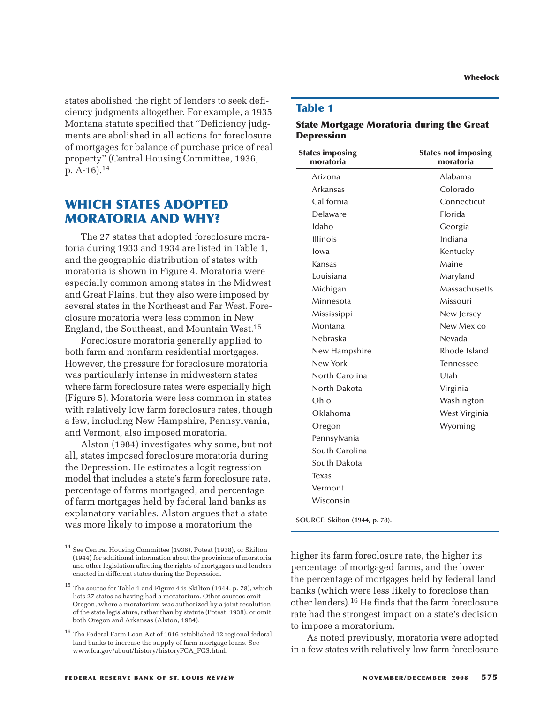states abolished the right of lenders to seek deficiency judgments altogether. For example, a 1935 Montana statute specified that "Deficiency judgments are abolished in all actions for foreclosure of mortgages for balance of purchase price of real property" (Central Housing Committee, 1936, p. A-16).14

# **WHICH STATES ADOPTED MORATORIA AND WHY?**

The 27 states that adopted foreclosure moratoria during 1933 and 1934 are listed in Table 1, and the geographic distribution of states with moratoria is shown in Figure 4. Moratoria were especially common among states in the Midwest and Great Plains, but they also were imposed by several states in the Northeast and Far West. Foreclosure moratoria were less common in New England, the Southeast, and Mountain West.15

Foreclosure moratoria generally applied to both farm and nonfarm residential mortgages. However, the pressure for foreclosure moratoria was particularly intense in midwestern states where farm foreclosure rates were especially high (Figure 5). Moratoria were less common in states with relatively low farm foreclosure rates, though a few, including New Hampshire, Pennsylvania, and Vermont, also imposed moratoria.

Alston (1984) investigates why some, but not all, states imposed foreclosure moratoria during the Depression. He estimates a logit regression model that includes a state's farm foreclosure rate, percentage of farms mortgaged, and percentage of farm mortgages held by federal land banks as explanatory variables. Alston argues that a state was more likely to impose a moratorium the

#### **Wheelock**

#### **Table 1**

#### **State Mortgage Moratoria during the Great Depression**

| <b>States imposing</b><br>moratoria | <b>States not imposing</b><br>moratoria |
|-------------------------------------|-----------------------------------------|
| Arizona                             | Alabama                                 |
| Arkansas                            | Colorado                                |
| California                          | Connecticut                             |
| Delaware                            | <b>Florida</b>                          |
| Idaho                               | Georgia                                 |
| <b>Illinois</b>                     | Indiana                                 |
| Iowa                                | Kentucky                                |
| Kansas                              | Maine                                   |
| Louisiana                           | Maryland                                |
| Michigan                            | Massachusetts                           |
| Minnesota                           | Missouri                                |
| Mississippi                         | New Jersey                              |
| Montana                             | New Mexico                              |
| Nebraska                            | Nevada                                  |
| New Hampshire                       | Rhode Island                            |
| New York                            | Tennessee                               |
| North Carolina                      | Utah                                    |
| North Dakota                        | Virginia                                |
| Ohio                                | Washington                              |
| Oklahoma                            | West Virginia                           |
| Oregon                              | Wyoming                                 |
| Pennsylvania                        |                                         |
| South Carolina                      |                                         |
| South Dakota                        |                                         |
| Texas                               |                                         |
| Vermont                             |                                         |
| Wisconsin                           |                                         |
|                                     |                                         |

**SOURCE: Skilton (1944, p. 78).**

higher its farm foreclosure rate, the higher its percentage of mortgaged farms, and the lower the percentage of mortgages held by federal land banks (which were less likely to foreclose than other lenders).16 He finds that the farm foreclosure rate had the strongest impact on a state's decision to impose a moratorium.

As noted previously, moratoria were adopted in a few states with relatively low farm foreclosure

<sup>14</sup> See Central Housing Committee (1936), Poteat (1938), or Skilton (1944) for additional information about the provisions of moratoria and other legislation affecting the rights of mortgagors and lenders enacted in different states during the Depression.

 $^{\rm 15}$  The source for Table 1 and Figure 4 is Skilton (1944, p. 78), which lists 27 states as having had a moratorium. Other sources omit Oregon, where a moratorium was authorized by a joint resolution of the state legislature, rather than by statute (Poteat, 1938), or omit both Oregon and Arkansas (Alston, 1984).

<sup>&</sup>lt;sup>16</sup> The Federal Farm Loan Act of 1916 established 12 regional federal land banks to increase the supply of farm mortgage loans. See www.fca.gov/about/history/historyFCA\_FCS.html.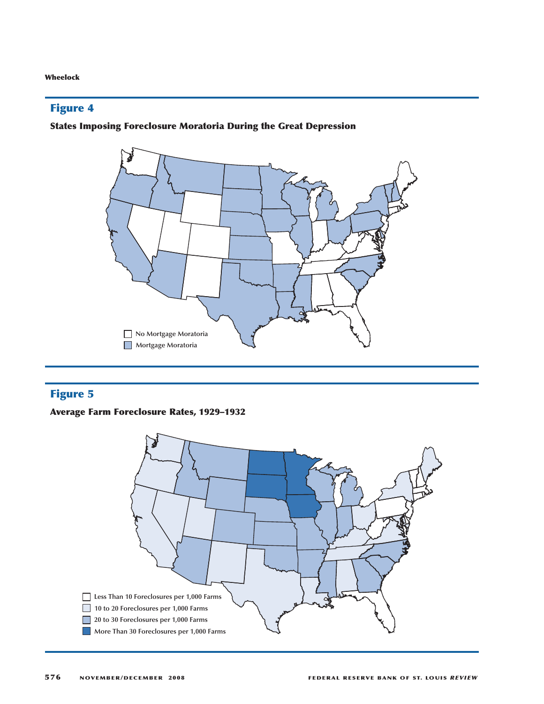# **Figure 4**

**States Imposing Foreclosure Moratoria During the Great Depression**



# **Figure 5**

**Average Farm Foreclosure Rates, 1929–1932**

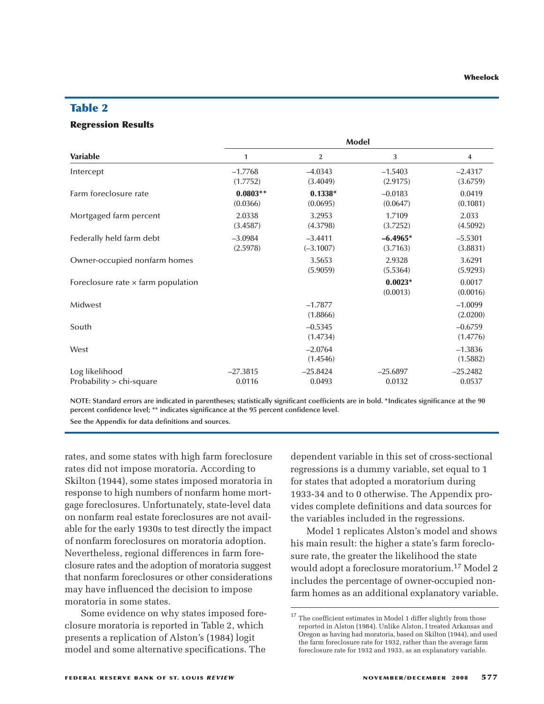# **Table 2**

#### **Regression Results**

|                                            | Model                  |                          |                        |                       |  |
|--------------------------------------------|------------------------|--------------------------|------------------------|-----------------------|--|
| <b>Variable</b>                            | 1                      | $\overline{2}$           | 3                      | 4                     |  |
| Intercept                                  | $-1.7768$<br>(1.7752)  | $-4.0343$<br>(3.4049)    | $-1.5403$<br>(2.9175)  | $-2.4317$<br>(3.6759) |  |
| Farm foreclosure rate                      | $0.0803**$<br>(0.0366) | $0.1338*$<br>(0.0695)    | $-0.0183$<br>(0.0647)  | 0.0419<br>(0.1081)    |  |
| Mortgaged farm percent                     | 2.0338<br>(3.4587)     | 3.2953<br>(4.3798)       | 1.7109<br>(3.7252)     | 2.033<br>(4.5092)     |  |
| Federally held farm debt                   | $-3.0984$<br>(2.5978)  | $-3.4411$<br>$(-3.1007)$ | $-6.4965*$<br>(3.7163) | $-5.5301$<br>(3.8831) |  |
| Owner-occupied nonfarm homes               |                        | 3.5653<br>(5.9059)       | 2.9328<br>(5.5364)     | 3.6291<br>(5.9293)    |  |
| Foreclosure rate $\times$ farm population  |                        |                          | $0.0023*$<br>(0.0013)  | 0.0017<br>(0.0016)    |  |
| Midwest                                    |                        | $-1.7877$<br>(1.8866)    |                        | $-1.0099$<br>(2.0200) |  |
| South                                      |                        | $-0.5345$<br>(1.4734)    |                        | $-0.6759$<br>(1.4776) |  |
| West                                       |                        | $-2.0764$<br>(1.4546)    |                        | $-1.3836$<br>(1.5882) |  |
| Log likelihood<br>Probability > chi-square | $-27.3815$<br>0.0116   | $-25.8424$<br>0.0493     | $-25.6897$<br>0.0132   | $-25.2482$<br>0.0537  |  |

**NOTE: Standard errors are indicated in parentheses; statistically significant coefficients are in bold. \*Indicates significance at the 90 percent confidence level; \*\* indicates significance at the 95 percent confidence level.**

**See the Appendix for data definitions and sources.**

rates, and some states with high farm foreclosure rates did not impose moratoria. According to Skilton (1944), some states imposed moratoria in response to high numbers of nonfarm home mortgage foreclosures. Unfortunately, state-level data on nonfarm real estate foreclosures are not available for the early 1930s to test directly the impact of nonfarm foreclosures on moratoria adoption. Nevertheless, regional differences in farm foreclosure rates and the adoption of moratoria suggest that nonfarm foreclosures or other considerations may have influenced the decision to impose moratoria in some states.

Some evidence on why states imposed foreclosure moratoria is reported in Table 2, which presents a replication of Alston's (1984) logit model and some alternative specifications. The

dependent variable in this set of cross-sectional regressions is a dummy variable, set equal to 1 for states that adopted a moratorium during 1933-34 and to 0 otherwise. The Appendix provides complete definitions and data sources for the variables included in the regressions.

Model 1 replicates Alston's model and shows his main result: the higher a state's farm foreclosure rate, the greater the likelihood the state would adopt a foreclosure moratorium.17 Model 2 includes the percentage of owner-occupied nonfarm homes as an additional explanatory variable.

 $^{\rm 17}$  The coefficient estimates in Model 1 differ slightly from those reported in Alston (1984). Unlike Alston, I treated Arkansas and Oregon as having had moratoria, based on Skilton (1944), and used the farm foreclosure rate for 1932, rather than the average farm foreclosure rate for 1932 and 1933, as an explanatory variable.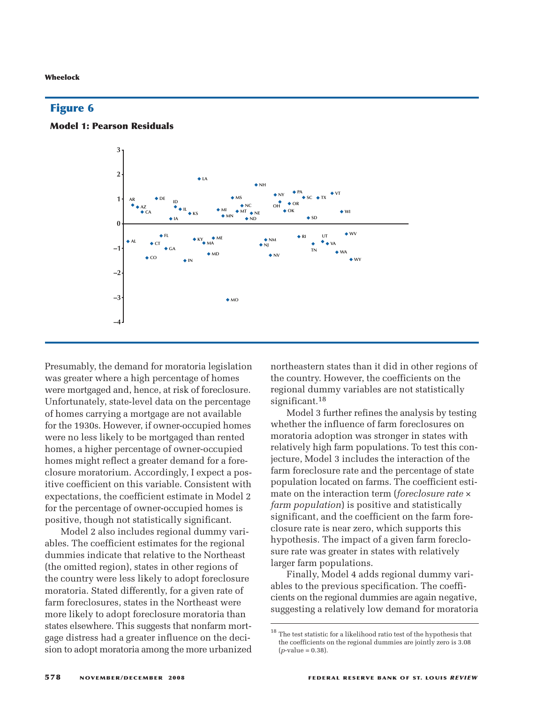### **Figure 6**





Presumably, the demand for moratoria legislation was greater where a high percentage of homes were mortgaged and, hence, at risk of foreclosure. Unfortunately, state-level data on the percentage of homes carrying a mortgage are not available for the 1930s. However, if owner-occupied homes were no less likely to be mortgaged than rented homes, a higher percentage of owner-occupied homes might reflect a greater demand for a foreclosure moratorium. Accordingly, I expect a positive coefficient on this variable. Consistent with expectations, the coefficient estimate in Model 2 for the percentage of owner-occupied homes is positive, though not statistically significant.

Model 2 also includes regional dummy variables. The coefficient estimates for the regional dummies indicate that relative to the Northeast (the omitted region), states in other regions of the country were less likely to adopt foreclosure moratoria. Stated differently, for a given rate of farm foreclosures, states in the Northeast were more likely to adopt foreclosure moratoria than states elsewhere. This suggests that nonfarm mortgage distress had a greater influence on the decision to adopt moratoria among the more urbanized northeastern states than it did in other regions of the country. However, the coefficients on the regional dummy variables are not statistically significant.<sup>18</sup>

Model 3 further refines the analysis by testing whether the influence of farm foreclosures on moratoria adoption was stronger in states with relatively high farm populations. To test this conjecture, Model 3 includes the interaction of the farm foreclosure rate and the percentage of state population located on farms. The coefficient estimate on the interaction term (*foreclosure rate* × *farm population*) is positive and statistically significant, and the coefficient on the farm foreclosure rate is near zero, which supports this hypothesis. The impact of a given farm foreclosure rate was greater in states with relatively larger farm populations.

Finally, Model 4 adds regional dummy variables to the previous specification. The coefficients on the regional dummies are again negative, suggesting a relatively low demand for moratoria

 $^{\rm 18}$  The test statistic for a likelihood ratio test of the hypothesis that the coefficients on the regional dummies are jointly zero is 3.08  $(p$ -value = 0.38).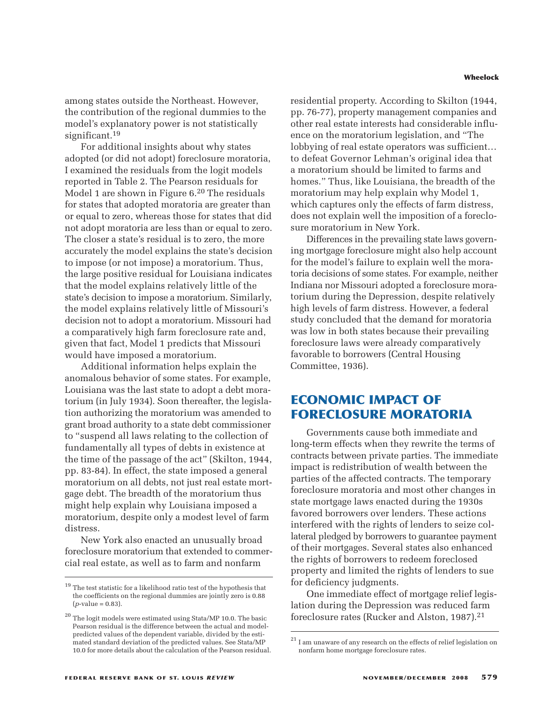among states outside the Northeast. However, the contribution of the regional dummies to the model's explanatory power is not statistically significant.<sup>19</sup>

For additional insights about why states adopted (or did not adopt) foreclosure moratoria, I examined the residuals from the logit models reported in Table 2. The Pearson residuals for Model 1 are shown in Figure 6.<sup>20</sup> The residuals for states that adopted moratoria are greater than or equal to zero, whereas those for states that did not adopt moratoria are less than or equal to zero. The closer a state's residual is to zero, the more accurately the model explains the state's decision to impose (or not impose) a moratorium. Thus, the large positive residual for Louisiana indicates that the model explains relatively little of the state's decision to impose a moratorium. Similarly, the model explains relatively little of Missouri's decision not to adopt a moratorium. Missouri had a comparatively high farm foreclosure rate and, given that fact, Model 1 predicts that Missouri would have imposed a moratorium.

Additional information helps explain the anomalous behavior of some states. For example, Louisiana was the last state to adopt a debt moratorium (in July 1934). Soon thereafter, the legislation authorizing the moratorium was amended to grant broad authority to a state debt commissioner to "suspend all laws relating to the collection of fundamentally all types of debts in existence at the time of the passage of the act" (Skilton, 1944, pp. 83-84). In effect, the state imposed a general moratorium on all debts, not just real estate mortgage debt. The breadth of the moratorium thus might help explain why Louisiana imposed a moratorium, despite only a modest level of farm distress.

New York also enacted an unusually broad foreclosure moratorium that extended to commercial real estate, as well as to farm and nonfarm

residential property. According to Skilton (1944, pp. 76-77), property management companies and other real estate interests had considerable influence on the moratorium legislation, and "The lobbying of real estate operators was sufficient… to defeat Governor Lehman's original idea that a moratorium should be limited to farms and homes." Thus, like Louisiana, the breadth of the moratorium may help explain why Model 1, which captures only the effects of farm distress, does not explain well the imposition of a foreclosure moratorium in New York.

Differences in the prevailing state laws governing mortgage foreclosure might also help account for the model's failure to explain well the moratoria decisions of some states. For example, neither Indiana nor Missouri adopted a foreclosure moratorium during the Depression, despite relatively high levels of farm distress. However, a federal study concluded that the demand for moratoria was low in both states because their prevailing foreclosure laws were already comparatively favorable to borrowers (Central Housing Committee, 1936).

# **ECONOMIC IMPACT OF FORECLOSURE MORATORIA**

Governments cause both immediate and long-term effects when they rewrite the terms of contracts between private parties. The immediate impact is redistribution of wealth between the parties of the affected contracts. The temporary foreclosure moratoria and most other changes in state mortgage laws enacted during the 1930s favored borrowers over lenders. These actions interfered with the rights of lenders to seize collateral pledged by borrowers to guarantee payment of their mortgages. Several states also enhanced the rights of borrowers to redeem foreclosed property and limited the rights of lenders to sue for deficiency judgments.

One immediate effect of mortgage relief legislation during the Depression was reduced farm foreclosure rates (Rucker and Alston, 1987).21

 $19$  The test statistic for a likelihood ratio test of the hypothesis that the coefficients on the regional dummies are jointly zero is 0.88  $(p$ -value =  $0.83$ ).

<sup>&</sup>lt;sup>20</sup> The logit models were estimated using Stata/MP 10.0. The basic Pearson residual is the difference between the actual and modelpredicted values of the dependent variable, divided by the estimated standard deviation of the predicted values. See Stata/MP 10.0 for more details about the calculation of the Pearson residual.

 $21$  I am unaware of any research on the effects of relief legislation on nonfarm home mortgage foreclosure rates.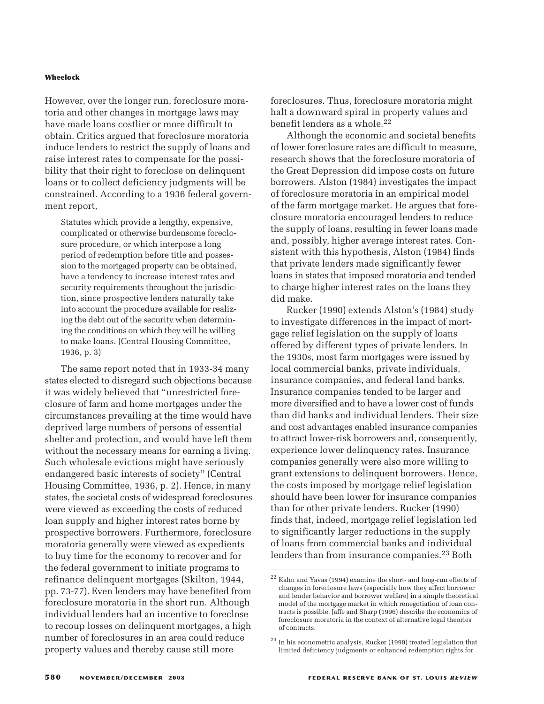However, over the longer run, foreclosure moratoria and other changes in mortgage laws may have made loans costlier or more difficult to obtain. Critics argued that foreclosure moratoria induce lenders to restrict the supply of loans and raise interest rates to compensate for the possibility that their right to foreclose on delinquent loans or to collect deficiency judgments will be constrained. According to a 1936 federal government report,

Statutes which provide a lengthy, expensive, complicated or otherwise burdensome foreclosure procedure, or which interpose a long period of redemption before title and possession to the mortgaged property can be obtained, have a tendency to increase interest rates and security requirements throughout the jurisdiction, since prospective lenders naturally take into account the procedure available for realizing the debt out of the security when determining the conditions on which they will be willing to make loans. (Central Housing Committee, 1936, p. 3)

The same report noted that in 1933-34 many states elected to disregard such objections because it was widely believed that "unrestricted foreclosure of farm and home mortgages under the circumstances prevailing at the time would have deprived large numbers of persons of essential shelter and protection, and would have left them without the necessary means for earning a living. Such wholesale evictions might have seriously endangered basic interests of society" (Central Housing Committee, 1936, p. 2). Hence, in many states, the societal costs of widespread foreclosures were viewed as exceeding the costs of reduced loan supply and higher interest rates borne by prospective borrowers. Furthermore, foreclosure moratoria generally were viewed as expedients to buy time for the economy to recover and for the federal government to initiate programs to refinance delinquent mortgages (Skilton, 1944, pp. 73-77). Even lenders may have benefited from foreclosure moratoria in the short run. Although individual lenders had an incentive to foreclose to recoup losses on delinquent mortgages, a high number of foreclosures in an area could reduce property values and thereby cause still more

foreclosures. Thus, foreclosure moratoria might halt a downward spiral in property values and benefit lenders as a whole.<sup>22</sup>

Although the economic and societal benefits of lower foreclosure rates are difficult to measure, research shows that the foreclosure moratoria of the Great Depression did impose costs on future borrowers. Alston (1984) investigates the impact of foreclosure moratoria in an empirical model of the farm mortgage market. He argues that foreclosure moratoria encouraged lenders to reduce the supply of loans, resulting in fewer loans made and, possibly, higher average interest rates. Consistent with this hypothesis, Alston (1984) finds that private lenders made significantly fewer loans in states that imposed moratoria and tended to charge higher interest rates on the loans they did make.

Rucker (1990) extends Alston's (1984) study to investigate differences in the impact of mortgage relief legislation on the supply of loans offered by different types of private lenders. In the 1930s, most farm mortgages were issued by local commercial banks, private individuals, insurance companies, and federal land banks. Insurance companies tended to be larger and more diversified and to have a lower cost of funds than did banks and individual lenders. Their size and cost advantages enabled insurance companies to attract lower-risk borrowers and, consequently, experience lower delinquency rates. Insurance companies generally were also more willing to grant extensions to delinquent borrowers. Hence, the costs imposed by mortgage relief legislation should have been lower for insurance companies than for other private lenders. Rucker (1990) finds that, indeed, mortgage relief legislation led to significantly larger reductions in the supply of loans from commercial banks and individual lenders than from insurance companies.<sup>23</sup> Both

<sup>22</sup> Kahn and Yavas (1994) examine the short- and long-run effects of changes in foreclosure laws (especially how they affect borrower and lender behavior and borrower welfare) in a simple theoretical model of the mortgage market in which renegotiation of loan contracts is possible. Jaffe and Sharp (1996) describe the economics of foreclosure moratoria in the context of alternative legal theories of contracts.

 $^{\rm 23}$  In his econometric analysis, Rucker (1990) treated legislation that limited deficiency judgments or enhanced redemption rights for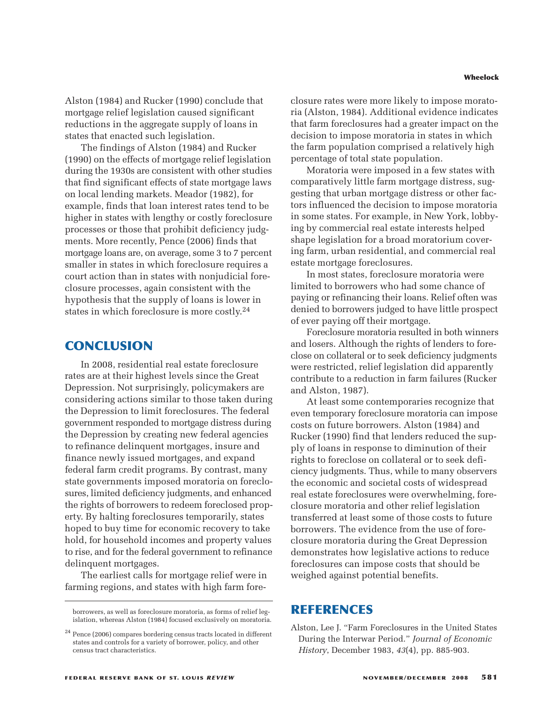Alston (1984) and Rucker (1990) conclude that mortgage relief legislation caused significant reductions in the aggregate supply of loans in states that enacted such legislation.

The findings of Alston (1984) and Rucker (1990) on the effects of mortgage relief legislation during the 1930s are consistent with other studies that find significant effects of state mortgage laws on local lending markets. Meador (1982), for example, finds that loan interest rates tend to be higher in states with lengthy or costly foreclosure processes or those that prohibit deficiency judgments. More recently, Pence (2006) finds that mortgage loans are, on average, some 3 to 7 percent smaller in states in which foreclosure requires a court action than in states with nonjudicial foreclosure processes, again consistent with the hypothesis that the supply of loans is lower in states in which foreclosure is more costly.24

## **CONCLUSION**

In 2008, residential real estate foreclosure rates are at their highest levels since the Great Depression. Not surprisingly, policymakers are considering actions similar to those taken during the Depression to limit foreclosures. The federal government responded to mortgage distress during the Depression by creating new federal agencies to refinance delinquent mortgages, insure and finance newly issued mortgages, and expand federal farm credit programs. By contrast, many state governments imposed moratoria on foreclosures, limited deficiency judgments, and enhanced the rights of borrowers to redeem foreclosed property. By halting foreclosures temporarily, states hoped to buy time for economic recovery to take hold, for household incomes and property values to rise, and for the federal government to refinance delinquent mortgages.

The earliest calls for mortgage relief were in farming regions, and states with high farm fore-

closure rates were more likely to impose moratoria (Alston, 1984). Additional evidence indicates that farm foreclosures had a greater impact on the decision to impose moratoria in states in which the farm population comprised a relatively high percentage of total state population.

Moratoria were imposed in a few states with comparatively little farm mortgage distress, suggesting that urban mortgage distress or other factors influenced the decision to impose moratoria in some states. For example, in New York, lobbying by commercial real estate interests helped shape legislation for a broad moratorium covering farm, urban residential, and commercial real estate mortgage foreclosures.

In most states, foreclosure moratoria were limited to borrowers who had some chance of paying or refinancing their loans. Relief often was denied to borrowers judged to have little prospect of ever paying off their mortgage.

Foreclosure moratoria resulted in both winners and losers. Although the rights of lenders to foreclose on collateral or to seek deficiency judgments were restricted, relief legislation did apparently contribute to a reduction in farm failures (Rucker and Alston, 1987).

At least some contemporaries recognize that even temporary foreclosure moratoria can impose costs on future borrowers. Alston (1984) and Rucker (1990) find that lenders reduced the supply of loans in response to diminution of their rights to foreclose on collateral or to seek deficiency judgments. Thus, while to many observers the economic and societal costs of widespread real estate foreclosures were overwhelming, foreclosure moratoria and other relief legislation transferred at least some of those costs to future borrowers. The evidence from the use of foreclosure moratoria during the Great Depression demonstrates how legislative actions to reduce foreclosures can impose costs that should be weighed against potential benefits.

# **REFERENCES**

borrowers, as well as foreclosure moratoria, as forms of relief legislation, whereas Alston (1984) focused exclusively on moratoria.

<sup>&</sup>lt;sup>24</sup> Pence (2006) compares bordering census tracts located in different states and controls for a variety of borrower, policy, and other census tract characteristics.

Alston, Lee J. "Farm Foreclosures in the United States During the Interwar Period." *Journal of Economic History*, December 1983, *43*(4), pp. 885-903.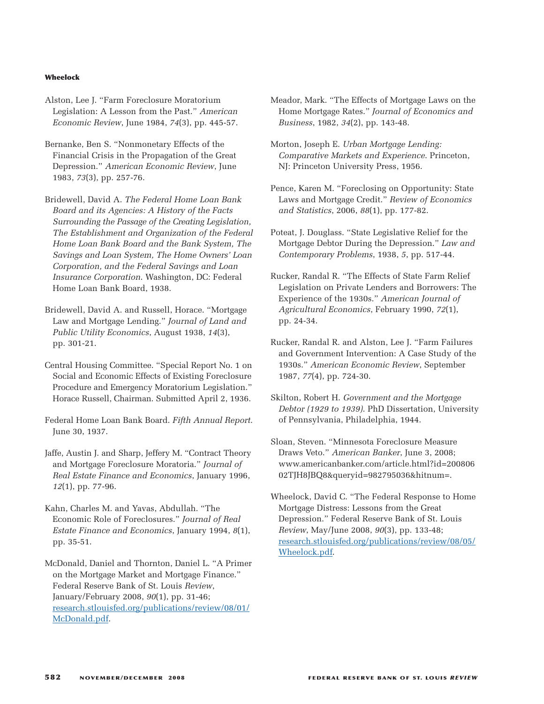- Alston, Lee J. "Farm Foreclosure Moratorium Legislation: A Lesson from the Past." *American Economic Review*, June 1984, *74*(3), pp. 445-57.
- Bernanke, Ben S. "Nonmonetary Effects of the Financial Crisis in the Propagation of the Great Depression." *American Economic Review*, June 1983, *73*(3), pp. 257-76.
- Bridewell, David A. *The Federal Home Loan Bank Board and its Agencies: A History of the Facts Surrounding the Passage of the Creating Legislation, The Establishment and Organization of the Federal Home Loan Bank Board and the Bank System, The Savings and Loan System, The Home Owners' Loan Corporation, and the Federal Savings and Loan Insurance Corporation*. Washington, DC: Federal Home Loan Bank Board, 1938.
- Bridewell, David A. and Russell, Horace. "Mortgage Law and Mortgage Lending." *Journal of Land and Public Utility Economics*, August 1938, *14*(3), pp. 301-21.
- Central Housing Committee. "Special Report No. 1 on Social and Economic Effects of Existing Foreclosure Procedure and Emergency Moratorium Legislation." Horace Russell, Chairman. Submitted April 2, 1936.
- Federal Home Loan Bank Board. *Fifth Annual Report*. June 30, 1937.
- Jaffe, Austin J. and Sharp, Jeffery M. "Contract Theory and Mortgage Foreclosure Moratoria." *Journal of Real Estate Finance and Economics*, January 1996, *12*(1), pp. 77-96.
- Kahn, Charles M. and Yavas, Abdullah. "The Economic Role of Foreclosures." *Journal of Real Estate Finance and Economics*, January 1994, *8*(1), pp. 35-51.
- McDonald, Daniel and Thornton, Daniel L. "A Primer on the Mortgage Market and Mortgage Finance." Federal Reserve Bank of St. Louis *Review*, January/February 2008, *90*(1), pp. 31-46; [research.stlouisfed.org/publications/review/08/01/](http://research.stlouisfed.org/publications/review/08/01/McDonald.pdf) McDonald.pdf.
- Meador, Mark. "The Effects of Mortgage Laws on the Home Mortgage Rates." *Journal of Economics and Business*, 1982, *34*(2), pp. 143-48.
- Morton, Joseph E. *Urban Mortgage Lending: Comparative Markets and Experience*. Princeton, NJ: Princeton University Press, 1956.
- Pence, Karen M. "Foreclosing on Opportunity: State Laws and Mortgage Credit." *Review of Economics and Statistics*, 2006, *88*(1), pp. 177-82.
- Poteat, J. Douglass. "State Legislative Relief for the Mortgage Debtor During the Depression." *Law and Contemporary Problems*, 1938, *5*, pp. 517-44.
- Rucker, Randal R. "The Effects of State Farm Relief Legislation on Private Lenders and Borrowers: The Experience of the 1930s." *American Journal of Agricultural Economics*, February 1990, *72*(1), pp. 24-34.
- Rucker, Randal R. and Alston, Lee J. "Farm Failures and Government Intervention: A Case Study of the 1930s." *American Economic Review*, September 1987, *77*(4), pp. 724-30.
- Skilton, Robert H. *Government and the Mortgage Debtor (1929 to 1939)*. PhD Dissertation, University of Pennsylvania, Philadelphia, 1944.
- Sloan, Steven. "Minnesota Foreclosure Measure Draws Veto." *American Banker*, June 3, 2008; www.americanbanker.com/article.html?id=200806 02TJH8JBQ8&queryid=982795036&hitnum=.
- Wheelock, David C. "The Federal Response to Home Mortgage Distress: Lessons from the Great Depression." Federal Reserve Bank of St. Louis *Review*, May/June 2008, *90*(3), pp. 133-48; [research.stlouisfed.org/publications/review/08/05/](http://research.stlouisfed.org/publications/review/08/05/Wheelock.pdf) Wheelock.pdf.